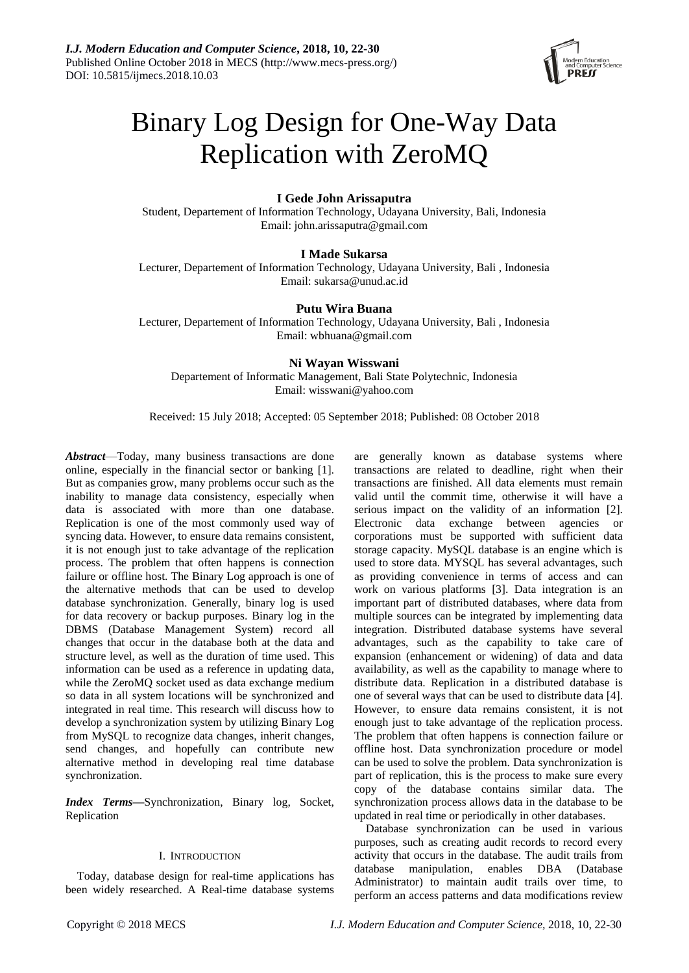

# Binary Log Design for One-Way Data Replication with ZeroMQ

# **I Gede John Arissaputra**

Student, Departement of Information Technology, Udayana University, Bali, Indonesia Email: john.arissaputra@gmail.com

# **I Made Sukarsa**

Lecturer, Departement of Information Technology, Udayana University, Bali , Indonesia Email: sukarsa@unud.ac.id

# **Putu Wira Buana**

Lecturer, Departement of Information Technology, Udayana University, Bali , Indonesia Email: wbhuana@gmail.com

# **Ni Wayan Wisswani**

Departement of Informatic Management, Bali State Polytechnic, Indonesia Email: wisswani@yahoo.com

# Received: 15 July 2018; Accepted: 05 September 2018; Published: 08 October 2018

*Abstract*—Today, many business transactions are done online, especially in the financial sector or banking [1]. But as companies grow, many problems occur such as the inability to manage data consistency, especially when data is associated with more than one database. Replication is one of the most commonly used way of syncing data. However, to ensure data remains consistent, it is not enough just to take advantage of the replication process. The problem that often happens is connection failure or offline host. The Binary Log approach is one of the alternative methods that can be used to develop database synchronization. Generally, binary log is used for data recovery or backup purposes. Binary log in the DBMS (Database Management System) record all changes that occur in the database both at the data and structure level, as well as the duration of time used. This information can be used as a reference in updating data, while the ZeroMQ socket used as data exchange medium so data in all system locations will be synchronized and integrated in real time. This research will discuss how to develop a synchronization system by utilizing Binary Log from MySQL to recognize data changes, inherit changes, send changes, and hopefully can contribute new alternative method in developing real time database synchronization.

*Index Terms***—**Synchronization, Binary log, Socket, Replication

# I. INTRODUCTION

Today, database design for real-time applications has been widely researched. A Real-time database systems are generally known as database systems where transactions are related to deadline, right when their transactions are finished. All data elements must remain valid until the commit time, otherwise it will have a serious impact on the validity of an information [2]. Electronic data exchange between agencies or corporations must be supported with sufficient data storage capacity. MySQL database is an engine which is used to store data. MYSQL has several advantages, such as providing convenience in terms of access and can work on various platforms [3]. Data integration is an important part of distributed databases, where data from multiple sources can be integrated by implementing data integration. Distributed database systems have several advantages, such as the capability to take care of expansion (enhancement or widening) of data and data availability, as well as the capability to manage where to distribute data. Replication in a distributed database is one of several ways that can be used to distribute data [4]. However, to ensure data remains consistent, it is not enough just to take advantage of the replication process. The problem that often happens is connection failure or offline host. Data synchronization procedure or model can be used to solve the problem. Data synchronization is part of replication, this is the process to make sure every copy of the database contains similar data. The synchronization process allows data in the database to be updated in real time or periodically in other databases.

Database synchronization can be used in various purposes, such as creating audit records to record every activity that occurs in the database. The audit trails from database manipulation, enables DBA (Database Administrator) to maintain audit trails over time, to perform an access patterns and data modifications review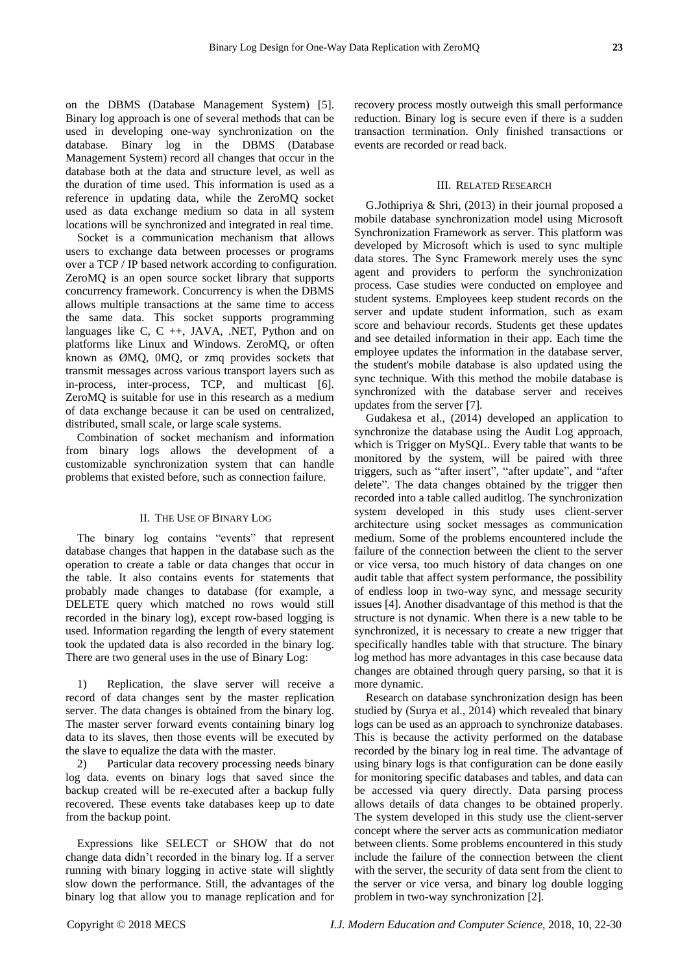on the DBMS (Database Management System) [5]. Binary log approach is one of several methods that can be used in developing one-way synchronization on the database. Binary log in the DBMS (Database Management System) record all changes that occur in the database both at the data and structure level, as well as the duration of time used. This information is used as a reference in updating data, while the ZeroMQ socket used as data exchange medium so data in all system locations will be synchronized and integrated in real time.

Socket is a communication mechanism that allows users to exchange data between processes or programs over a TCP / IP based network according to configuration. ZeroMQ is an open source socket library that supports concurrency framework. Concurrency is when the DBMS allows multiple transactions at the same time to access the same data. This socket supports programming languages like C, C ++, JAVA, .NET, Python and on platforms like Linux and Windows. ZeroMQ, or often known as ØMQ, 0MQ, or zmq provides sockets that transmit messages across various transport layers such as in-process, inter-process, TCP, and multicast [6]. ZeroMQ is suitable for use in this research as a medium of data exchange because it can be used on centralized, distributed, small scale, or large scale systems.

Combination of socket mechanism and information from binary logs allows the development of a customizable synchronization system that can handle problems that existed before, such as connection failure.

#### II. THE USE OF BINARY LOG

The binary log contains "events" that represent database changes that happen in the database such as the operation to create a table or data changes that occur in the table. It also contains events for statements that probably made changes to database (for example, a DELETE query which matched no rows would still recorded in the binary log), except row-based logging is used. Information regarding the length of every statement took the updated data is also recorded in the binary log. There are two general uses in the use of Binary Log:

1) Replication, the slave server will receive a record of data changes sent by the master replication server. The data changes is obtained from the binary log. The master server forward events containing binary log data to its slaves, then those events will be executed by the slave to equalize the data with the master.

2) Particular data recovery processing needs binary log data. events on binary logs that saved since the backup created will be re-executed after a backup fully recovered. These events take databases keep up to date from the backup point.

Expressions like SELECT or SHOW that do not change data didn't recorded in the binary log. If a server running with binary logging in active state will slightly slow down the performance. Still, the advantages of the binary log that allow you to manage replication and for recovery process mostly outweigh this small performance reduction. Binary log is secure even if there is a sudden transaction termination. Only finished transactions or events are recorded or read back.

## III. RELATED RESEARCH

G.Jothipriya & Shri, (2013) in their journal proposed a mobile database synchronization model using Microsoft Synchronization Framework as server. This platform was developed by Microsoft which is used to sync multiple data stores. The Sync Framework merely uses the sync agent and providers to perform the synchronization process. Case studies were conducted on employee and student systems. Employees keep student records on the server and update student information, such as exam score and behaviour records. Students get these updates and see detailed information in their app. Each time the employee updates the information in the database server, the student's mobile database is also updated using the sync technique. With this method the mobile database is synchronized with the database server and receives updates from the server [7].

Gudakesa et al., (2014) developed an application to synchronize the database using the Audit Log approach, which is Trigger on MySQL. Every table that wants to be monitored by the system, will be paired with three triggers, such as "after insert", "after update", and "after delete". The data changes obtained by the trigger then recorded into a table called auditlog. The synchronization system developed in this study uses client-server architecture using socket messages as communication medium. Some of the problems encountered include the failure of the connection between the client to the server or vice versa, too much history of data changes on one audit table that affect system performance, the possibility of endless loop in two-way sync, and message security issues [4]. Another disadvantage of this method is that the structure is not dynamic. When there is a new table to be synchronized, it is necessary to create a new trigger that specifically handles table with that structure. The binary log method has more advantages in this case because data changes are obtained through query parsing, so that it is more dynamic.

Research on database synchronization design has been studied by (Surya et al., 2014) which revealed that binary logs can be used as an approach to synchronize databases. This is because the activity performed on the database recorded by the binary log in real time. The advantage of using binary logs is that configuration can be done easily for monitoring specific databases and tables, and data can be accessed via query directly. Data parsing process allows details of data changes to be obtained properly. The system developed in this study use the client-server concept where the server acts as communication mediator between clients. Some problems encountered in this study include the failure of the connection between the client with the server, the security of data sent from the client to the server or vice versa, and binary log double logging problem in two-way synchronization [2].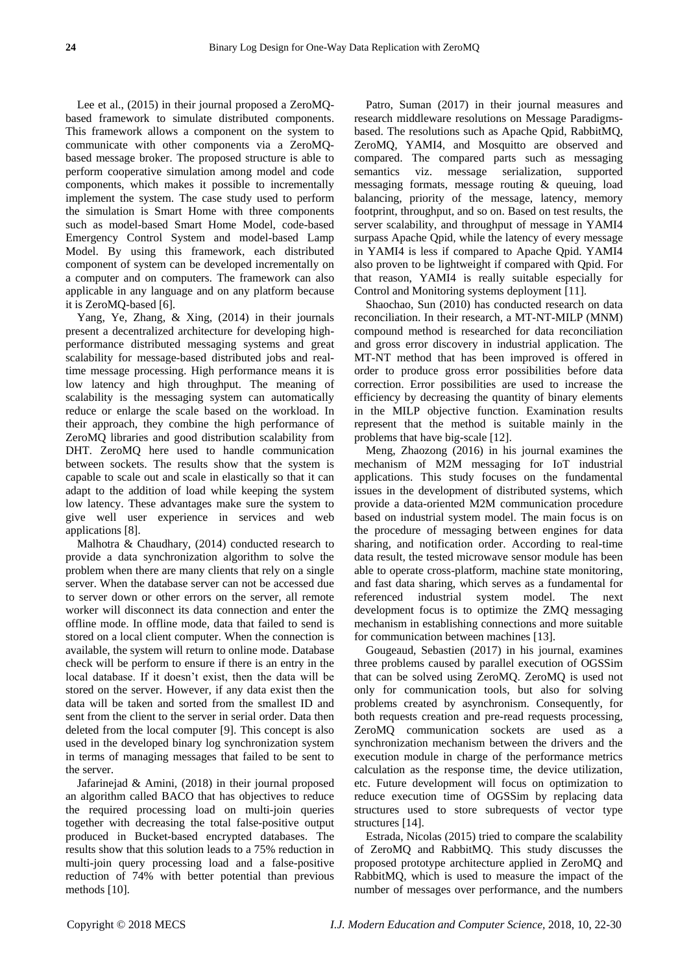Lee et al., (2015) in their journal proposed a ZeroMQbased framework to simulate distributed components. This framework allows a component on the system to communicate with other components via a ZeroMQbased message broker. The proposed structure is able to perform cooperative simulation among model and code components, which makes it possible to incrementally implement the system. The case study used to perform the simulation is Smart Home with three components such as model-based Smart Home Model, code-based Emergency Control System and model-based Lamp Model. By using this framework, each distributed component of system can be developed incrementally on a computer and on computers. The framework can also applicable in any language and on any platform because it is ZeroMQ-based [6].

Yang, Ye, Zhang, & Xing, (2014) in their journals present a decentralized architecture for developing highperformance distributed messaging systems and great scalability for message-based distributed jobs and realtime message processing. High performance means it is low latency and high throughput. The meaning of scalability is the messaging system can automatically reduce or enlarge the scale based on the workload. In their approach, they combine the high performance of ZeroMQ libraries and good distribution scalability from DHT. ZeroMQ here used to handle communication between sockets. The results show that the system is capable to scale out and scale in elastically so that it can adapt to the addition of load while keeping the system low latency. These advantages make sure the system to give well user experience in services and web applications [8].

Malhotra & Chaudhary, (2014) conducted research to provide a data synchronization algorithm to solve the problem when there are many clients that rely on a single server. When the database server can not be accessed due to server down or other errors on the server, all remote worker will disconnect its data connection and enter the offline mode. In offline mode, data that failed to send is stored on a local client computer. When the connection is available, the system will return to online mode. Database check will be perform to ensure if there is an entry in the local database. If it doesn't exist, then the data will be stored on the server. However, if any data exist then the data will be taken and sorted from the smallest ID and sent from the client to the server in serial order. Data then deleted from the local computer [9]. This concept is also used in the developed binary log synchronization system in terms of managing messages that failed to be sent to the server.

Jafarinejad & Amini, (2018) in their journal proposed an algorithm called BACO that has objectives to reduce the required processing load on multi-join queries together with decreasing the total false-positive output produced in Bucket-based encrypted databases. The results show that this solution leads to a 75% reduction in multi-join query processing load and a false-positive reduction of 74% with better potential than previous methods [10].

Patro, Suman (2017) in their journal measures and research middleware resolutions on Message Paradigmsbased. The resolutions such as Apache Qpid, RabbitMQ, ZeroMQ, YAMI4, and Mosquitto are observed and compared. The compared parts such as messaging semantics viz. message serialization, supported messaging formats, message routing & queuing, load balancing, priority of the message, latency, memory footprint, throughput, and so on. Based on test results, the server scalability, and throughput of message in YAMI4 surpass Apache Qpid, while the latency of every message in YAMI4 is less if compared to Apache Qpid. YAMI4 also proven to be lightweight if compared with Qpid. For that reason, YAMI4 is really suitable especially for Control and Monitoring systems deployment [11].

Shaochao, Sun (2010) has conducted research on data reconciliation. In their research, a MT-NT-MILP (MNM) compound method is researched for data reconciliation and gross error discovery in industrial application. The MT-NT method that has been improved is offered in order to produce gross error possibilities before data correction. Error possibilities are used to increase the efficiency by decreasing the quantity of binary elements in the MILP objective function. Examination results represent that the method is suitable mainly in the problems that have big-scale [12].

Meng, Zhaozong (2016) in his journal examines the mechanism of M2M messaging for IoT industrial applications. This study focuses on the fundamental issues in the development of distributed systems, which provide a data-oriented M2M communication procedure based on industrial system model. The main focus is on the procedure of messaging between engines for data sharing, and notification order. According to real-time data result, the tested microwave sensor module has been able to operate cross-platform, machine state monitoring, and fast data sharing, which serves as a fundamental for referenced industrial system model. The next development focus is to optimize the ZMQ messaging mechanism in establishing connections and more suitable for communication between machines [13].

Gougeaud, Sebastien (2017) in his journal, examines three problems caused by parallel execution of OGSSim that can be solved using ZeroMQ. ZeroMQ is used not only for communication tools, but also for solving problems created by asynchronism. Consequently, for both requests creation and pre-read requests processing, ZeroMQ communication sockets are used as a synchronization mechanism between the drivers and the execution module in charge of the performance metrics calculation as the response time, the device utilization, etc. Future development will focus on optimization to reduce execution time of OGSSim by replacing data structures used to store subrequests of vector type structures [14].

Estrada, Nicolas (2015) tried to compare the scalability of ZeroMQ and RabbitMQ. This study discusses the proposed prototype architecture applied in ZeroMQ and RabbitMQ, which is used to measure the impact of the number of messages over performance, and the numbers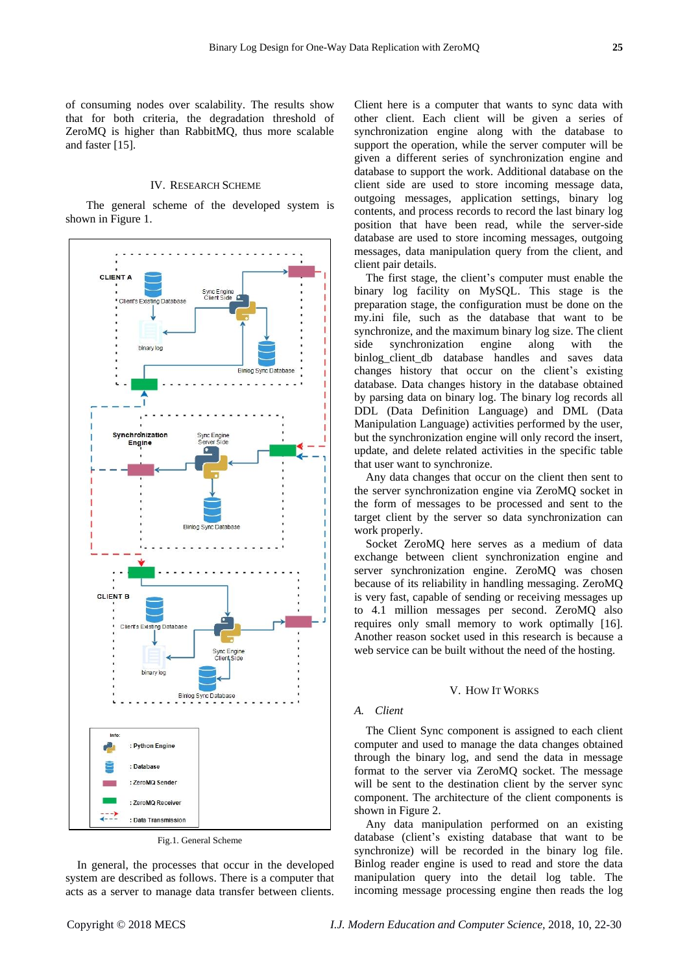of consuming nodes over scalability. The results show that for both criteria, the degradation threshold of ZeroMQ is higher than RabbitMQ, thus more scalable and faster [15].

## IV. RESEARCH SCHEME

The general scheme of the developed system is shown in Figure 1.



Fig.1. General Scheme

In general, the processes that occur in the developed system are described as follows. There is a computer that acts as a server to manage data transfer between clients.

Client here is a computer that wants to sync data with other client. Each client will be given a series of synchronization engine along with the database to support the operation, while the server computer will be given a different series of synchronization engine and database to support the work. Additional database on the client side are used to store incoming message data, outgoing messages, application settings, binary log contents, and process records to record the last binary log position that have been read, while the server-side database are used to store incoming messages, outgoing messages, data manipulation query from the client, and client pair details.

The first stage, the client's computer must enable the binary log facility on MySQL. This stage is the preparation stage, the configuration must be done on the my.ini file, such as the database that want to be synchronize, and the maximum binary log size. The client side synchronization engine along with the binlog\_client\_db database handles and saves data changes history that occur on the client's existing database. Data changes history in the database obtained by parsing data on binary log. The binary log records all DDL (Data Definition Language) and DML (Data Manipulation Language) activities performed by the user, but the synchronization engine will only record the insert, update, and delete related activities in the specific table that user want to synchronize.

Any data changes that occur on the client then sent to the server synchronization engine via ZeroMQ socket in the form of messages to be processed and sent to the target client by the server so data synchronization can work properly.

Socket ZeroMQ here serves as a medium of data exchange between client synchronization engine and server synchronization engine. ZeroMQ was chosen because of its reliability in handling messaging. ZeroMQ is very fast, capable of sending or receiving messages up to 4.1 million messages per second. ZeroMQ also requires only small memory to work optimally [16]. Another reason socket used in this research is because a web service can be built without the need of the hosting.

#### V. HOW IT WORKS

# *A. Client*

The Client Sync component is assigned to each client computer and used to manage the data changes obtained through the binary log, and send the data in message format to the server via ZeroMQ socket. The message will be sent to the destination client by the server sync component. The architecture of the client components is shown in Figure 2.

Any data manipulation performed on an existing database (client's existing database that want to be synchronize) will be recorded in the binary log file. Binlog reader engine is used to read and store the data manipulation query into the detail log table. The incoming message processing engine then reads the log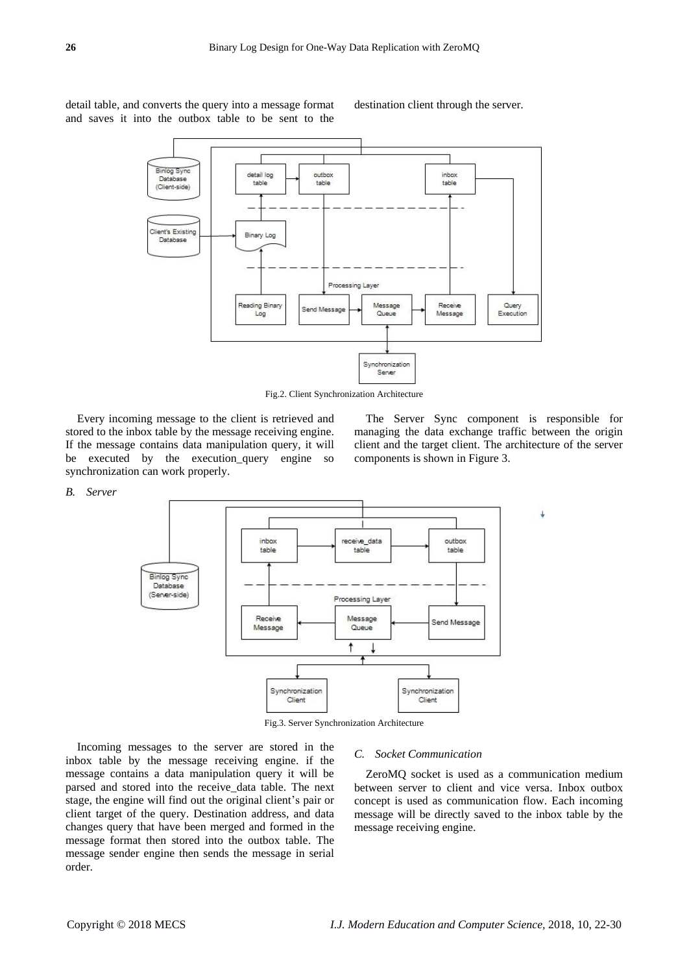detail table, and converts the query into a message format and saves it into the outbox table to be sent to the destination client through the server.



Fig.2. Client Synchronization Architecture

Every incoming message to the client is retrieved and stored to the inbox table by the message receiving engine. If the message contains data manipulation query, it will be executed by the execution\_query engine so synchronization can work properly.

The Server Sync component is responsible for managing the data exchange traffic between the origin client and the target client. The architecture of the server components is shown in Figure 3.

J.

#### *B. Server*



Fig.3. Server Synchronization Architecture

Incoming messages to the server are stored in the inbox table by the message receiving engine. if the message contains a data manipulation query it will be parsed and stored into the receive\_data table. The next stage, the engine will find out the original client's pair or client target of the query. Destination address, and data changes query that have been merged and formed in the message format then stored into the outbox table. The message sender engine then sends the message in serial order.

#### *C. Socket Communication*

ZeroMQ socket is used as a communication medium between server to client and vice versa. Inbox outbox concept is used as communication flow. Each incoming message will be directly saved to the inbox table by the message receiving engine.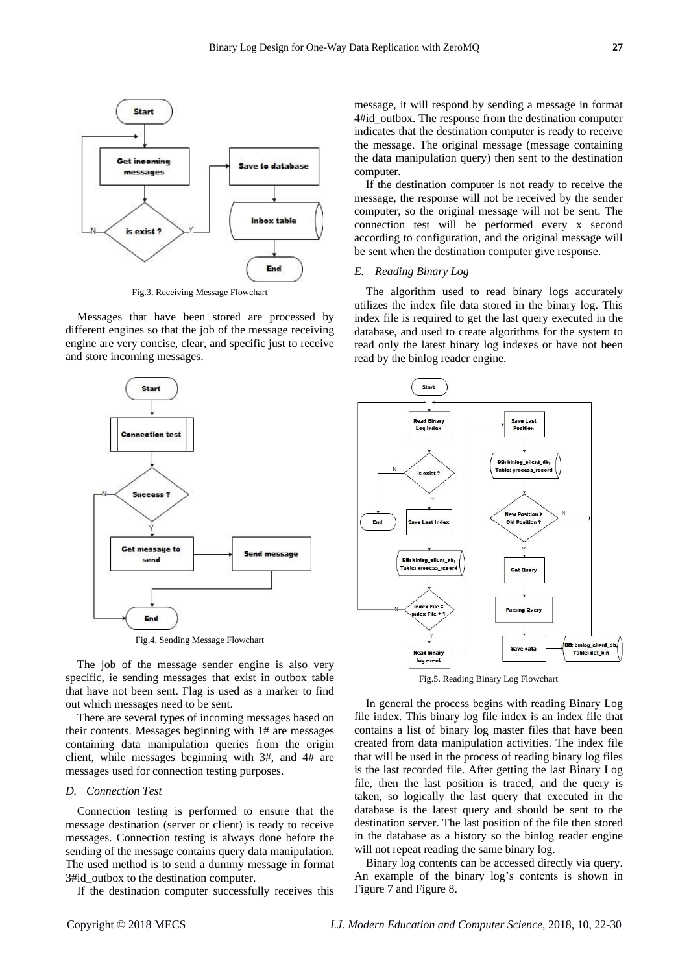

Fig.3. Receiving Message Flowchart

Messages that have been stored are processed by different engines so that the job of the message receiving engine are very concise, clear, and specific just to receive and store incoming messages.



Fig.4. Sending Message Flowchart

The job of the message sender engine is also very specific, ie sending messages that exist in outbox table that have not been sent. Flag is used as a marker to find out which messages need to be sent.

There are several types of incoming messages based on their contents. Messages beginning with 1# are messages containing data manipulation queries from the origin client, while messages beginning with 3#, and 4# are messages used for connection testing purposes.

# *D. Connection Test*

Connection testing is performed to ensure that the message destination (server or client) is ready to receive messages. Connection testing is always done before the sending of the message contains query data manipulation. The used method is to send a dummy message in format 3#id\_outbox to the destination computer.

If the destination computer successfully receives this

message, it will respond by sending a message in format 4#id\_outbox. The response from the destination computer indicates that the destination computer is ready to receive the message. The original message (message containing the data manipulation query) then sent to the destination computer.

If the destination computer is not ready to receive the message, the response will not be received by the sender computer, so the original message will not be sent. The connection test will be performed every x second according to configuration, and the original message will be sent when the destination computer give response.

# *E. Reading Binary Log*

The algorithm used to read binary logs accurately utilizes the index file data stored in the binary log. This index file is required to get the last query executed in the database, and used to create algorithms for the system to read only the latest binary log indexes or have not been read by the binlog reader engine.



Fig.5. Reading Binary Log Flowchart

In general the process begins with reading Binary Log file index. This binary log file index is an index file that contains a list of binary log master files that have been created from data manipulation activities. The index file that will be used in the process of reading binary log files is the last recorded file. After getting the last Binary Log file, then the last position is traced, and the query is taken, so logically the last query that executed in the database is the latest query and should be sent to the destination server. The last position of the file then stored in the database as a history so the binlog reader engine will not repeat reading the same binary log.

Binary log contents can be accessed directly via query. An example of the binary log's contents is shown in Figure 7 and Figure 8.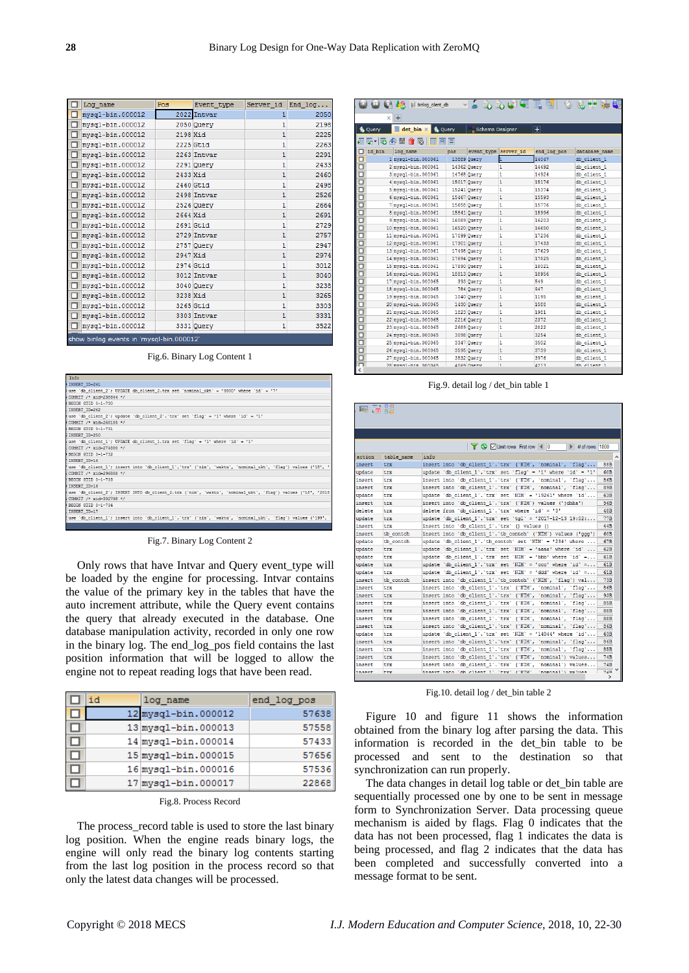| Log name                                 | Pos      | Event_type  |              | Server_id End_log |
|------------------------------------------|----------|-------------|--------------|-------------------|
| mysql-bin.000012                         |          | 2022 Intvar | 1            | 2050              |
| □<br>mysql-bin.000012                    |          | 2050 Query  | 1            | 2198              |
| mysql-bin.000012                         | 2198 Xid |             | $\mathbf{1}$ | 2225              |
| mysql-bin.000012                         |          | 2225 Gtid   | $\mathbf{1}$ | 2263              |
| mysql-bin.000012                         |          | 2263 Intvar | $\mathbf{1}$ | 2291              |
| п<br>mysql-bin.000012                    |          | 2291 Query  | $\mathbf{1}$ | 2433              |
| п<br>mysql-bin.000012                    | 2433 Xid |             | $\mathbf{1}$ | 2460              |
| □<br>mysql-bin.000012                    |          | 2460 Gtid   | 1            | 2498              |
| п<br>mysql-bin.000012                    |          | 2498 Intvar | $\mathbf{1}$ | 2526              |
| п<br>mysql-bin.000012                    |          | 2526 Query  | $\mathbf{1}$ | 2664              |
| п<br>mysql-bin.000012                    | 2664 Xid |             | $\mathbf{1}$ | 2691              |
| mysql-bin.000012                         |          | 2691 Gtid   | 1            | 2729              |
| mysql-bin.000012                         |          | 2729 Intvar | $\mathbf{1}$ | 2757              |
| mysql-bin.000012                         |          | 2757 Query  | $\mathbf{1}$ | 2947              |
| o<br>mysql-bin.000012                    | 2947 Xid |             | 1            | 2974              |
| п<br>mysql-bin.000012                    |          | 2974 Gtid   | 1            | 3012              |
| □<br>mysql-bin.000012                    |          | 3012 Intvar | $\mathbf{1}$ | 3040              |
| п<br>mysql-bin.000012                    |          | 3040 Query  | $\mathbf{1}$ | 3238              |
| □<br>mysql-bin.000012                    | 3238 Xid |             | $\mathbf{1}$ | 3265              |
| г<br>mysql-bin.000012                    |          | 3265 Gtid   | $\mathbf{1}$ | 3303              |
| mysql-bin.000012                         |          | 3303 Intvar | $\mathbf{1}$ | 3331              |
| mysql-bin.000012                         |          | 3331 Query  | 1            | 3522              |
| show binlog events in 'mysal-bin 000012' |          |             |              |                   |

Fig.6. Binary Log Content 1

| Info                                                                                                       |
|------------------------------------------------------------------------------------------------------------|
| INSERT ID=261                                                                                              |
| (use 'db client 2'; UPDATE db client 2.trx set 'nominal ukt' = '9000' where 'id' = '7'                     |
| COMMIT /* xid=238644 */                                                                                    |
| BEGIN GTID 0-1-730                                                                                         |
| INSERT ID=262                                                                                              |
| use 'db_client_2'; update 'db_client_2'.'trx' set 'flag' = '1' where 'id' = '1'                            |
| COMMIT /* xid=268185 */                                                                                    |
| BEGIN GTID 0-1-731                                                                                         |
| INSERT ID-250                                                                                              |
| use 'db client 1'; UPDATE db client 1.trx set 'flag' = '1' where 'id' = '1'                                |
| COMMIT /* xid=274880 */                                                                                    |
| BEGIN GTID 0-1-732                                                                                         |
| INSERT ID=16                                                                                               |
| use 'db client 1'; insert into 'db client 1'.'trx' ('nim', 'waktu', 'nominal ukt', 'flag') values ('18', ' |
| COMMIT /* xid=296888 */                                                                                    |
| BEGIN GTID 0-1-733                                                                                         |
| INSERT ID-16                                                                                               |
| use 'db client 2'; INSERT INTO db client 2.trx ('nim', 'waktu', 'nominal ukt', 'flag') values ('18', '2018 |
| COMMIT /* xid=302798 */                                                                                    |
| BEGIN GTID 0-1-734                                                                                         |
| INSERT ID=17                                                                                               |
| use 'db client 1'; insert into 'db client 1'.'trx' ('nim', 'waktu', 'nominal ukt', 'flag') values ('199',  |
|                                                                                                            |

Fig.7. Binary Log Content 2

Only rows that have Intvar and Query event\_type will be loaded by the engine for processing. Intvar contains the value of the primary key in the tables that have the auto increment attribute, while the Query event contains the query that already executed in the database. One database manipulation activity, recorded in only one row in the binary log. The end\_log\_pos field contains the last position information that will be logged to allow the engine not to repeat reading logs that have been read.

| id | log name            | end log pos |
|----|---------------------|-------------|
|    | 12 mysql-bin.000012 | 57638       |
|    | 13 mysql-bin.000013 | 57558       |
|    | 14 mysql-bin.000014 | 57433       |
|    | 15 mysql-bin.000015 | 57656       |
|    | 16 mysql-bin.000016 | 57536       |
|    | 17 mysql-bin.000017 | 22868       |

|  | Fig.8. Process Record |  |
|--|-----------------------|--|
|--|-----------------------|--|

The process\_record table is used to store the last binary log position. When the engine reads binary logs, the engine will only read the binary log contents starting from the last log position in the process record so that only the latest data changes will be processed.

|    |                                                                                 | binlog_client_db    |             |                      | VSGGUUTET |             |               |  |
|----|---------------------------------------------------------------------------------|---------------------|-------------|----------------------|-----------|-------------|---------------|--|
|    | $\pm$<br>×<br>det bin X<br><b>Query</b><br>Ŧ<br><b>Schema Designer</b><br>Query |                     |             |                      |           |             |               |  |
| Ⅰ⊞ | 弱っ困<br>圖<br>命雨<br>兩<br>扁                                                        |                     |             |                      |           |             |               |  |
| Io | id bin                                                                          | log name            | pos         | event type server id |           | end log pos | database name |  |
| O  |                                                                                 | 1 mysql-bin.000061  | 13889 Query |                      | h         | 14047       | db client 1   |  |
|    |                                                                                 | 2 mysql-bin.000061  | 14362 Query |                      | 1         | 14492       | db client 1   |  |
|    |                                                                                 | 3 mysql-bin.000061  |             | 14768 Ouerv          | 1         | 14924       | db client 1   |  |
|    |                                                                                 | 4 mysql-bin.000061  | 15017 Query |                      | 1         | 15176       | db client 1   |  |
|    |                                                                                 | 5 mysql-bin.000061  |             | 15241 Query          | 1         | 15374       | db client 1   |  |
|    |                                                                                 | 6 mysql-bin.000061  |             | 15467 Query          | 1         | 15593       | db client 1   |  |
|    |                                                                                 | 7 mysql-bin.000061  | 15658 Query |                      | 1         | 15776       | db client 1   |  |
|    |                                                                                 | 8 mysql-bin.000061  |             | 15841 Query          | 1         | 15996       | db client 1   |  |
|    |                                                                                 | 9 mysql-bin.000061  |             | 16089 Query          | 1         | 16203       | db client 1   |  |
|    |                                                                                 | 10 mysql-bin.000061 |             | 16520 Query          | 1         | 16650       | db client 1   |  |
|    |                                                                                 | 11 mysql-bin.000061 | 17099 Query |                      | n         | 17236       | db client 1   |  |
|    |                                                                                 | 12 mysql-bin.000061 | 17301 Query |                      | 1         | 17433       | db client 1   |  |
|    |                                                                                 | 13 mysql-bin.000061 | 17498 Query |                      | 1         | 17629       | db client 1   |  |
|    |                                                                                 | 14 mysql-bin.000061 |             | 17694 Ouerv          | 1         | 17825       | db client 1   |  |
|    |                                                                                 | 15 mysql-bin.000061 | 17890 Query |                      | 1         | 18021       | db client 1   |  |
|    |                                                                                 | 16 mysql-bin.000061 | 18813 Query |                      | 1         | 18956       | db client 1   |  |
|    |                                                                                 | 17 mysql-bin.000065 |             | 393 Ouerv            | 1         | 549         | db client 1   |  |
|    |                                                                                 | 18 mysql-bin.000065 |             | 784 Query            | 1         | 947         | db client 1   |  |
|    |                                                                                 | 19 mvsq1-bin.000065 |             | 1040 Ouerv           | 1         | 1195        | db client 1   |  |
|    |                                                                                 | 20 mysql-bin.000065 |             | 1430 Query           | 1         | 1588        | db client 1   |  |
|    |                                                                                 | 21 mysql-bin.000065 |             | 1823 Query           | 1         | 1981        | db client 1   |  |
|    |                                                                                 | 22 mvsq1-bin.000065 |             | 2216 Ouerv           | 1         | 2372        | db client 1   |  |
|    |                                                                                 | 23 mysql-bin.000065 |             | 2689 Query           | 1         | 2822        | db client 1   |  |
|    |                                                                                 | 24 mysql-bin.000065 |             | 3098 Query           | 1         | 3254        | db client 1   |  |
|    |                                                                                 | 25 mysql-bin.000065 |             | 3347 Query           | 1         | 3502        | db client 1   |  |
|    |                                                                                 | 26 mysql-bin.000065 |             | 3595 Query           | 1         | 3739        | db client 1   |  |
| Ō  |                                                                                 | 27 mysql-bin.000065 |             | 3832 Query           | 1         | 3976        | db client 1   |  |
| Ē  |                                                                                 | 28 mysed-hin 000065 |             | 4069 Onery           | h         | 4213        | dh client 1   |  |

Fig.9. detail log / det\_bin table 1

| ggi     | To 35      |                                                                                 |               |
|---------|------------|---------------------------------------------------------------------------------|---------------|
|         |            |                                                                                 |               |
|         |            |                                                                                 |               |
|         |            |                                                                                 |               |
|         |            | <b>T</b> & <b>D</b> Limit rows First row 4 0<br>$\triangleright$ # of rows 1000 |               |
| action  | table name | info                                                                            |               |
| insert  | trx        | insert into 'db client 1','trx' ('NIM', 'nominal', 'flag'                       | 88B           |
| update  | trx        | update 'db client 1'.'trx' set 'flaq' = '1' where 'id' = '1'                    | 60B           |
| insert  | trx        | insert into 'db client 1', 'trx' ('NIM', 'nominal', 'flag'                      | 86B           |
| insert  | trx        | insert into 'db client 1'.'trx' ('NIM', 'nominal', 'flag'                       | 89B           |
| update  | trx        | update 'db client 1'.'trx' set 'NIM' = '19261' where 'id'                       | 63B           |
| insert  | trx        | insert into 'db client 1'.'trx' ('NIM') values ('jdhha')                        | 56B           |
| delete  | trx        | delete from 'db client 1'.'trx' where 'id' = '3'                                | 48B           |
| update  | trx        | update 'db client 1'.'trx' set 'tgl' = '2017-12-13 19:02:                       | 77B           |
| insert  | trx        | insert into 'db client 1'.'trx' () values ()                                    | 44B           |
| insert  | tb contoh  | insert into 'db client 1'.'tb contoh' ('NIM') values ('qqq')                    | 60B           |
| undate  | tb contoh  | update 'db client 1'.'tb contoh' set 'NIM' = '234' where                        | 67B           |
| update  | trx        | update 'db client 1'.'trx' set 'NIM' = 'aaaa' where 'id'                        | 62B           |
| update  | trx        | update 'db client 1'.'trx' set 'NIM' = 'bbb' where 'id' =                       | 61B           |
| update  | trx        | update 'db client 1'.'trx' set 'NIM' = 'ccc' where 'id' =                       | 61B           |
| update  | trx        | update 'db client 1'.'trx' set 'NIM' = 'ddd' where 'id' =                       | 61B           |
| insert  | tb contoh  | insert into 'db client 1', 'tb contoh' ('NIM', 'flag') val                      | 73B           |
| insert  | trx        | insert into 'db client 1'.'trx' ('NIM', 'nominal', 'flag'                       | 86B           |
| insert  | trx        | insert into 'db client 1'.'trx' ('NIM', 'nominal', 'flag'                       | 93B           |
| insert  | trx        | insert into 'db client 1'.'trx' ('NIM', 'nominal', 'flaq'                       | 85B           |
| insert  | trx        | insert into 'db client 1'.'trx' ('NIM', 'nominal', 'flaq'                       | 88B           |
| insert  | trx        | insert into 'db client 1'.'trx' ('NIM', 'nominal', 'flag'                       | 88B           |
| insert  | trx        | insert into 'db client 1'.'trx' ('NIM', 'nominal', 'flag'                       | 86B           |
| update  | trx        | update 'db client 1'.'trx' set 'NIM' = '14044' where 'id'                       | 63B           |
| insert  | trx        | insert into 'db client 1'.'trx' ('NIM', 'nominal', 'flaq'                       | 86B           |
| insert. | trx        | insert into 'db client 1', 'trx'<br>('NIM', 'nominal', 'flag'                   | 85B           |
| insert  | trx        | insert into 'db client 1'.'trx'<br>('NIM', 'nominal') values                    | 74B           |
| insert  | trx        | insert into 'db client 1'.'trx'<br>('NIM', 'nominal') values                    | 74B           |
| ingert  | <b>TYV</b> | insert into 'dh client 1' 'try' ('NTM' 'nominal') values                        | 74R           |
|         |            |                                                                                 | $\rightarrow$ |

Fig.10. detail log / det\_bin table 2

Figure 10 and figure 11 shows the information obtained from the binary log after parsing the data. This information is recorded in the det\_bin table to be processed and sent to the destination so that synchronization can run properly.

The data changes in detail log table or det\_bin table are sequentially processed one by one to be sent in message form to Synchronization Server. Data processing queue mechanism is aided by flags. Flag 0 indicates that the data has not been processed, flag 1 indicates the data is being processed, and flag 2 indicates that the data has been completed and successfully converted into a message format to be sent.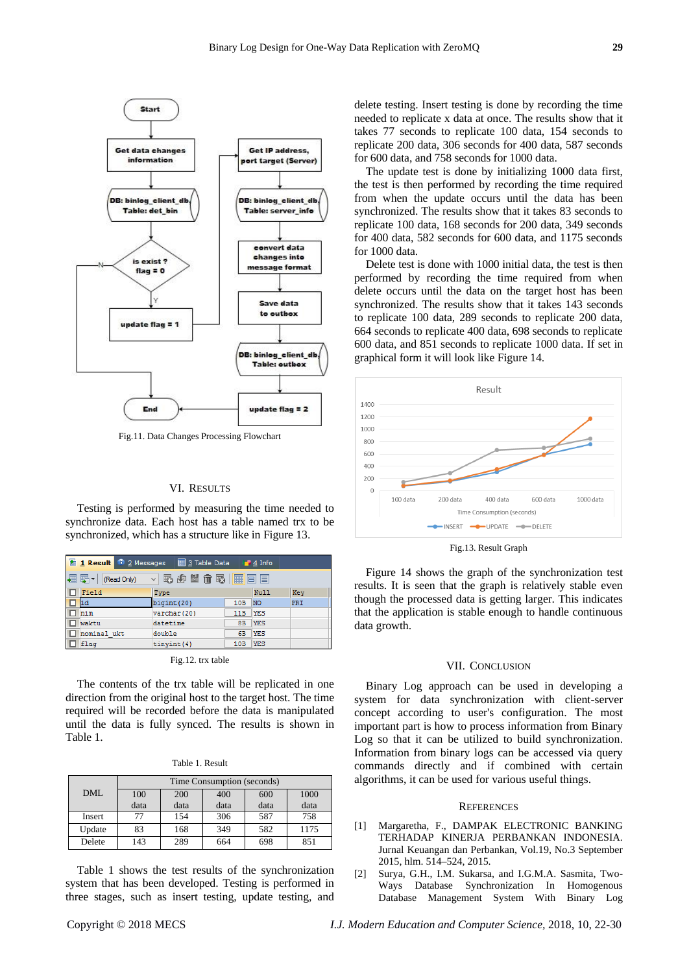

Fig.11. Data Changes Processing Flowchart

# VI. RESULTS

Testing is performed by measuring the time needed to synchronize data. Each host has a table named trx to be synchronized, which has a structure like in Figure 13.

|                                       | 1 Result 1 2 Messages | 3 Table Data |            | $\bullet$ 4 Info |     |  |
|---------------------------------------|-----------------------|--------------|------------|------------------|-----|--|
| - 野崎出命取<br>FEE<br>編 弱引<br>(Read Only) |                       |              |            |                  |     |  |
|                                       | Field                 | Type         |            | Null             | Key |  |
|                                       | id                    | bigint (20)  | 10B        | <b>NO</b>        | PRI |  |
|                                       | nim                   | varchar (20) | 11B        | <b>YES</b>       |     |  |
|                                       | waktu                 | datetime     | 8B         | <b>YES</b>       |     |  |
|                                       | nominal ukt           | double       | 6 <b>B</b> | <b>YES</b>       |     |  |
|                                       | flag                  | tinyint (4)  | 10B        | <b>YES</b>       |     |  |
|                                       |                       |              |            |                  |     |  |

Fig.12. trx table

The contents of the trx table will be replicated in one direction from the original host to the target host. The time required will be recorded before the data is manipulated until the data is fully synced. The results is shown in Table 1.

|  | Table 1. Result |
|--|-----------------|
|  |                 |

|            | Time Consumption (seconds) |      |      |      |      |
|------------|----------------------------|------|------|------|------|
| <b>DML</b> | 100                        | 200  | 400  | 600  | 1000 |
|            | data                       | data | data | data | data |
| Insert     | 77                         | 154  | 306  | 587  | 758  |
| Update     | 83                         | 168  | 349  | 582  | 1175 |
| Delete     | 143                        | 289  | 664  | 698  | 851  |

Table 1 shows the test results of the synchronization system that has been developed. Testing is performed in three stages, such as insert testing, update testing, and delete testing. Insert testing is done by recording the time needed to replicate x data at once. The results show that it takes 77 seconds to replicate 100 data, 154 seconds to replicate 200 data, 306 seconds for 400 data, 587 seconds for 600 data, and 758 seconds for 1000 data.

The update test is done by initializing 1000 data first, the test is then performed by recording the time required from when the update occurs until the data has been synchronized. The results show that it takes 83 seconds to replicate 100 data, 168 seconds for 200 data, 349 seconds for 400 data, 582 seconds for 600 data, and 1175 seconds for 1000 data.

Delete test is done with 1000 initial data, the test is then performed by recording the time required from when delete occurs until the data on the target host has been synchronized. The results show that it takes 143 seconds to replicate 100 data, 289 seconds to replicate 200 data, 664 seconds to replicate 400 data, 698 seconds to replicate 600 data, and 851 seconds to replicate 1000 data. If set in graphical form it will look like Figure 14.



Fig.13. Result Graph

Figure 14 shows the graph of the synchronization test results. It is seen that the graph is relatively stable even though the processed data is getting larger. This indicates that the application is stable enough to handle continuous data growth.

## VII. CONCLUSION

Binary Log approach can be used in developing a system for data synchronization with client-server concept according to user's configuration. The most important part is how to process information from Binary Log so that it can be utilized to build synchronization. Information from binary logs can be accessed via query commands directly and if combined with certain algorithms, it can be used for various useful things.

#### **REFERENCES**

- [1] Margaretha, F., DAMPAK ELECTRONIC BANKING TERHADAP KINERJA PERBANKAN INDONESIA. Jurnal Keuangan dan Perbankan, Vol.19, No.3 September 2015, hlm. 514–524, 2015.
- [2] Surya, G.H., I.M. Sukarsa, and I.G.M.A. Sasmita, Two-Ways Database Synchronization In Homogenous Database Management System With Binary Log